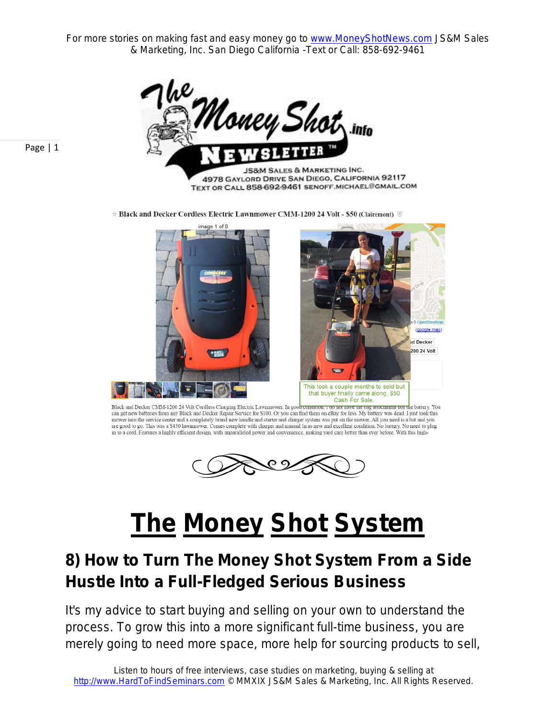For more stories on making fast and easy money go to www.MoneyShotNews.com JS&M Sales & Marketing, Inc. San Diego California -Text or Call: 858-692-9461



★ Black and Decker Cordless Electric Lawnmower CMM-1200 24 Volt - \$50 (Clairemont) 8



Black and Decker CMM-1200 24 Volt Cordless Charging Electric Lawmnower. In good conomon. 1 oo not nave me oag attacmment nor the battery. You can get new batteries from any Black and Decker Repair Service for \$100. Or you can find them on eBay for less. My battery was dead. I just took this mower into the service center and a completely brand new handle and starter and charger system was put on the mower. All you need is a bat and you are good to go. This was a \$450 lawnmower. Comes complete with charger and manual In as new and excellent condition. No battery. No need to plug in to a cord. Features a highly efficient design, with unparalleled power and



## **The Money Shot System**

## **8) How to Turn The Money Shot System From a Side Hustle Into a Full-Fledged Serious Business**

It's my advice to start buying and selling on your own to understand the process. To grow this into a more significant full-time business, you are merely going to need more space, more help for sourcing products to sell,

Page | 1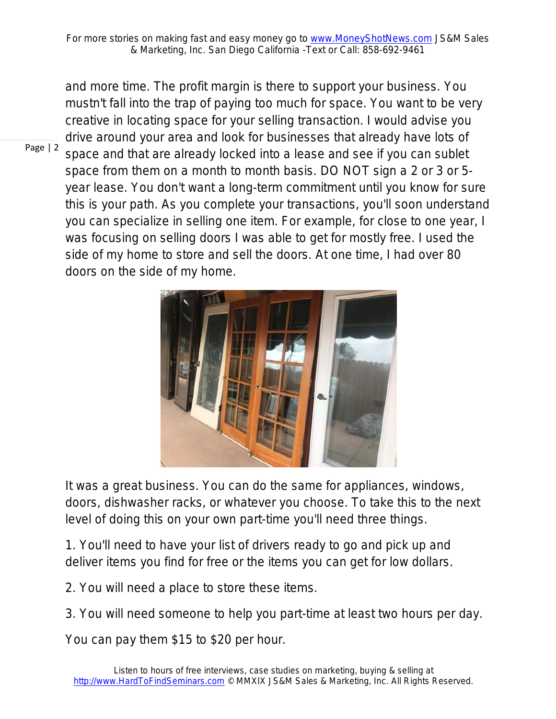and more time. The profit margin is there to support your business. You mustn't fall into the trap of paying too much for space. You want to be very creative in locating space for your selling transaction. I would advise you drive around your area and look for businesses that already have lots of space and that are already locked into a lease and see if you can sublet space from them on a month to month basis. DO NOT sign a 2 or 3 or 5 year lease. You don't want a long-term commitment until you know for sure this is your path. As you complete your transactions, you'll soon understand you can specialize in selling one item. For example, for close to one year, I was focusing on selling doors I was able to get for mostly free. I used the side of my home to store and sell the doors. At one time, I had over 80 doors on the side of my home.



It was a great business. You can do the same for appliances, windows, doors, dishwasher racks, or whatever you choose. To take this to the next level of doing this on your own part-time you'll need three things.

1. You'll need to have your list of drivers ready to go and pick up and deliver items you find for free or the items you can get for low dollars.

- 2. You will need a place to store these items.
- 3. You will need someone to help you part-time at least two hours per day.

You can pay them \$15 to \$20 per hour.

Page | 2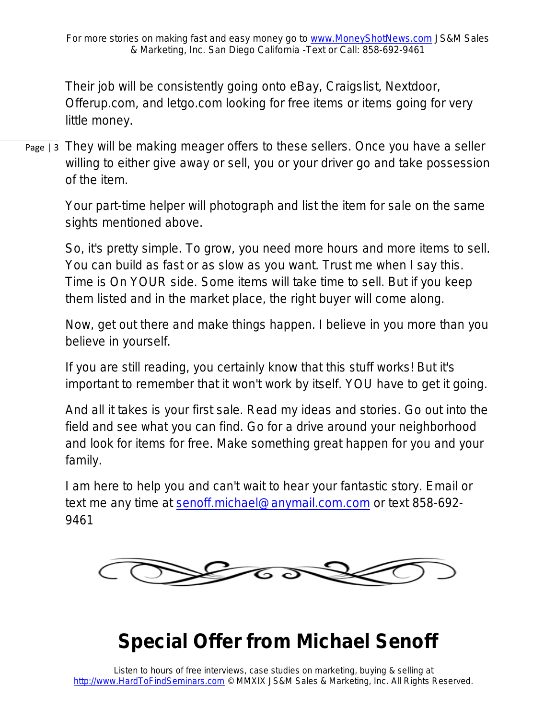Their job will be consistently going onto eBay, Craigslist, Nextdoor, Offerup.com, and letgo.com looking for free items or items going for very little money.

Page | 3 They will be making meager offers to these sellers. Once you have a seller willing to either give away or sell, you or your driver go and take possession of the item.

> Your part-time helper will photograph and list the item for sale on the same sights mentioned above.

So, it's pretty simple. To grow, you need more hours and more items to sell. You can build as fast or as slow as you want. Trust me when I say this. Time is On YOUR side. Some items will take time to sell. But if you keep them listed and in the market place, the right buyer will come along.

Now, get out there and make things happen. I believe in you more than you believe in yourself.

If you are still reading, you certainly know that this stuff works! But it's important to remember that it won't work by itself. YOU have to get it going.

And all it takes is your first sale. Read my ideas and stories. Go out into the field and see what you can find. Go for a drive around your neighborhood and look for items for free. Make something great happen for you and your family.

I am here to help you and can't wait to hear your fantastic story. Email or text me any time at senoff.michael@anymail.com.com or text 858-692- 9461



## **Special Offer from Michael Senoff**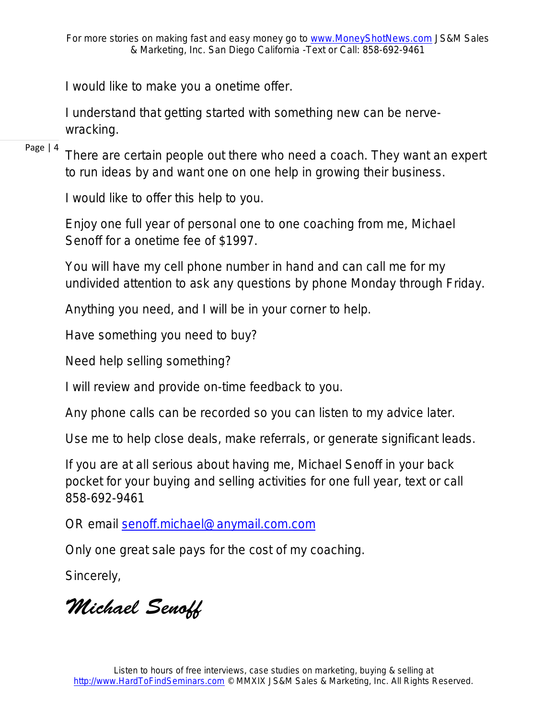I would like to make you a onetime offer.

I understand that getting started with something new can be nervewracking.

Page | 4

There are certain people out there who need a coach. They want an expert to run ideas by and want one on one help in growing their business.

I would like to offer this help to you.

Enjoy one full year of personal one to one coaching from me, Michael Senoff for a onetime fee of \$1997.

You will have my cell phone number in hand and can call me for my undivided attention to ask any questions by phone Monday through Friday.

Anything you need, and I will be in your corner to help.

Have something you need to buy?

Need help selling something?

I will review and provide on-time feedback to you.

Any phone calls can be recorded so you can listen to my advice later.

Use me to help close deals, make referrals, or generate significant leads.

If you are at all serious about having me, Michael Senoff in your back pocket for your buying and selling activities for one full year, text or call 858-692-9461

OR email senoff.michael@anymail.com.com

Only one great sale pays for the cost of my coaching.

Sincerely,

*Michael Senoff*